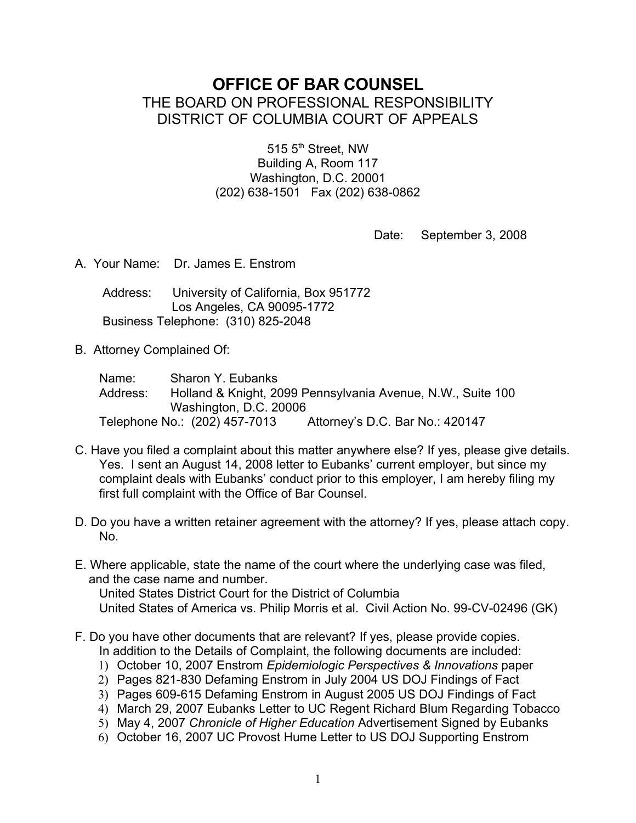# **OFFICE OF BAR COUNSEL** THE BOARD ON PROFESSIONAL RESPONSIBILITY DISTRICT OF COLUMBIA COURT OF APPEALS

515 5<sup>th</sup> Street, NW Building A, Room 117 Washington, D.C. 20001 (202) 638-1501 Fax (202) 638-0862

Date: September 3, 2008

A. Your Name: Dr. James E. Enstrom

 Address: University of California, Box 951772 Los Angeles, CA 90095-1772 Business Telephone: (310) 825-2048

B. Attorney Complained Of:

 Name: Sharon Y. Eubanks Address: Holland & Knight, 2099 Pennsylvania Avenue, N.W., Suite 100 Washington, D.C. 20006 Telephone No.: (202) 457-7013 Attorney's D.C. Bar No.: 420147

- C. Have you filed a complaint about this matter anywhere else? If yes, please give details. Yes. I sent an August 14, 2008 letter to Eubanks' current employer, but since my complaint deals with Eubanks' conduct prior to this employer, I am hereby filing my first full complaint with the Office of Bar Counsel.
- D. Do you have a written retainer agreement with the attorney? If yes, please attach copy. No.
- E. Where applicable, state the name of the court where the underlying case was filed, and the case name and number.

United States District Court for the District of Columbia

United States of America vs. Philip Morris et al. Civil Action No. 99-CV-02496 (GK)

- F. Do you have other documents that are relevant? If yes, please provide copies. In addition to the Details of Complaint, the following documents are included:
	- 1) October 10, 2007 Enstrom *Epidemiologic Perspectives & Innovations* paper
	- 2) Pages 821-830 Defaming Enstrom in July 2004 US DOJ Findings of Fact
	- 3) Pages 609-615 Defaming Enstrom in August 2005 US DOJ Findings of Fact
	- 4) March 29, 2007 Eubanks Letter to UC Regent Richard Blum Regarding Tobacco
	- 5) May 4, 2007 *Chronicle of Higher Education* Advertisement Signed by Eubanks
	- 6) October 16, 2007 UC Provost Hume Letter to US DOJ Supporting Enstrom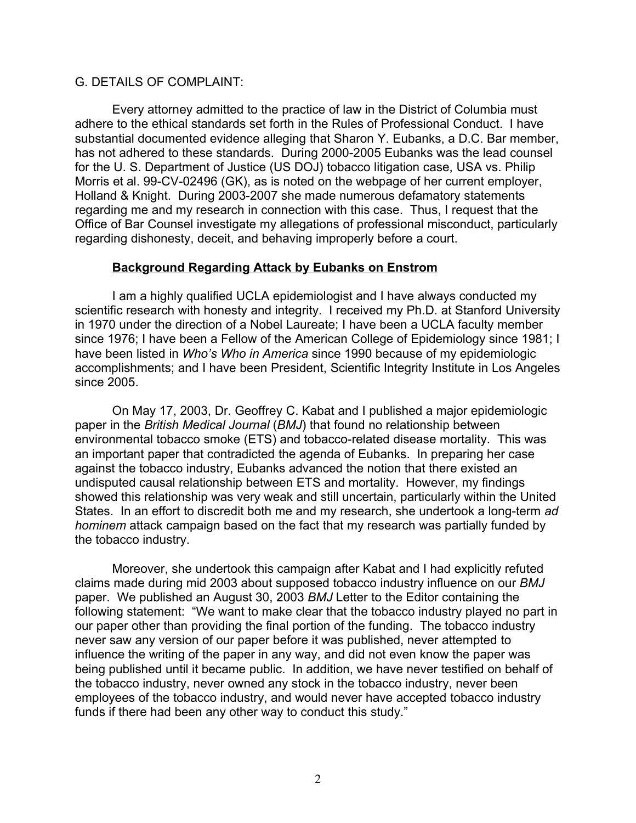#### G. DETAILS OF COMPLAINT:

Every attorney admitted to the practice of law in the District of Columbia must adhere to the ethical standards set forth in the Rules of Professional Conduct. I have substantial documented evidence alleging that Sharon Y. Eubanks, a D.C. Bar member, has not adhered to these standards. During 2000-2005 Eubanks was the lead counsel for the U. S. Department of Justice (US DOJ) tobacco litigation case, USA vs. Philip Morris et al. 99-CV-02496 (GK), as is noted on the webpage of her current employer, Holland & Knight. During 2003-2007 she made numerous defamatory statements regarding me and my research in connection with this case. Thus, I request that the Office of Bar Counsel investigate my allegations of professional misconduct, particularly regarding dishonesty, deceit, and behaving improperly before a court.

## **Background Regarding Attack by Eubanks on Enstrom**

I am a highly qualified UCLA epidemiologist and I have always conducted my scientific research with honesty and integrity. I received my Ph.D. at Stanford University in 1970 under the direction of a Nobel Laureate; I have been a UCLA faculty member since 1976; I have been a Fellow of the American College of Epidemiology since 1981; I have been listed in *Who's Who in America* since 1990 because of my epidemiologic accomplishments; and I have been President, Scientific Integrity Institute in Los Angeles since 2005.

On May 17, 2003, Dr. Geoffrey C. Kabat and I published a major epidemiologic paper in the *British Medical Journal* (*BMJ*) that found no relationship between environmental tobacco smoke (ETS) and tobacco-related disease mortality. This was an important paper that contradicted the agenda of Eubanks. In preparing her case against the tobacco industry, Eubanks advanced the notion that there existed an undisputed causal relationship between ETS and mortality. However, my findings showed this relationship was very weak and still uncertain, particularly within the United States. In an effort to discredit both me and my research, she undertook a long-term *ad hominem* attack campaign based on the fact that my research was partially funded by the tobacco industry.

Moreover, she undertook this campaign after Kabat and I had explicitly refuted claims made during mid 2003 about supposed tobacco industry influence on our *BMJ* paper. We published an August 30, 2003 *BMJ* Letter to the Editor containing the following statement: "We want to make clear that the tobacco industry played no part in our paper other than providing the final portion of the funding. The tobacco industry never saw any version of our paper before it was published, never attempted to influence the writing of the paper in any way, and did not even know the paper was being published until it became public. In addition, we have never testified on behalf of the tobacco industry, never owned any stock in the tobacco industry, never been employees of the tobacco industry, and would never have accepted tobacco industry funds if there had been any other way to conduct this study."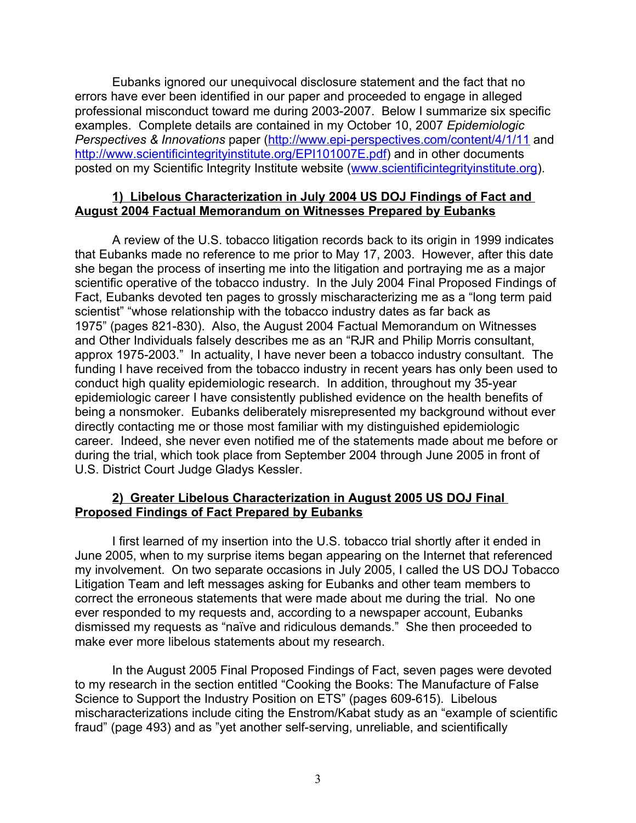Eubanks ignored our unequivocal disclosure statement and the fact that no errors have ever been identified in our paper and proceeded to engage in alleged professional misconduct toward me during 2003-2007. Below I summarize six specific examples. Complete details are contained in my October 10, 2007 *Epidemiologic Perspectives & Innovations* paper [\(http://www.epi-perspectives.com/content/4/1/11](http://www.epi-perspectives.com/content/4/1/11) and [http://www.scientificintegrityinstitute.org/EPI101007E.pdf\)](http://www.scientificintegrityinstitute.org/EPI101007E.pdf) and in other documents posted on my Scientific Integrity Institute website [\(www.scientificintegrityinstitute.org\)](http://www.scientificintegrityinstitute.org/).

### **1) Libelous Characterization in July 2004 US DOJ Findings of Fact and August 2004 Factual Memorandum on Witnesses Prepared by Eubanks**

A review of the U.S. tobacco litigation records back to its origin in 1999 indicates that Eubanks made no reference to me prior to May 17, 2003. However, after this date she began the process of inserting me into the litigation and portraying me as a major scientific operative of the tobacco industry. In the July 2004 Final Proposed Findings of Fact, Eubanks devoted ten pages to grossly mischaracterizing me as a "long term paid scientist" "whose relationship with the tobacco industry dates as far back as 1975" (pages 821-830). Also, the August 2004 Factual Memorandum on Witnesses and Other Individuals falsely describes me as an "RJR and Philip Morris consultant, approx 1975-2003." In actuality, I have never been a tobacco industry consultant. The funding I have received from the tobacco industry in recent years has only been used to conduct high quality epidemiologic research. In addition, throughout my 35-year epidemiologic career I have consistently published evidence on the health benefits of being a nonsmoker. Eubanks deliberately misrepresented my background without ever directly contacting me or those most familiar with my distinguished epidemiologic career. Indeed, she never even notified me of the statements made about me before or during the trial, which took place from September 2004 through June 2005 in front of U.S. District Court Judge Gladys Kessler.

## **2) Greater Libelous Characterization in August 2005 US DOJ Final Proposed Findings of Fact Prepared by Eubanks**

I first learned of my insertion into the U.S. tobacco trial shortly after it ended in June 2005, when to my surprise items began appearing on the Internet that referenced my involvement. On two separate occasions in July 2005, I called the US DOJ Tobacco Litigation Team and left messages asking for Eubanks and other team members to correct the erroneous statements that were made about me during the trial. No one ever responded to my requests and, according to a newspaper account, Eubanks dismissed my requests as "naïve and ridiculous demands." She then proceeded to make ever more libelous statements about my research.

In the August 2005 Final Proposed Findings of Fact, seven pages were devoted to my research in the section entitled "Cooking the Books: The Manufacture of False Science to Support the Industry Position on ETS" (pages 609-615). Libelous mischaracterizations include citing the Enstrom/Kabat study as an "example of scientific fraud" (page 493) and as "yet another self-serving, unreliable, and scientifically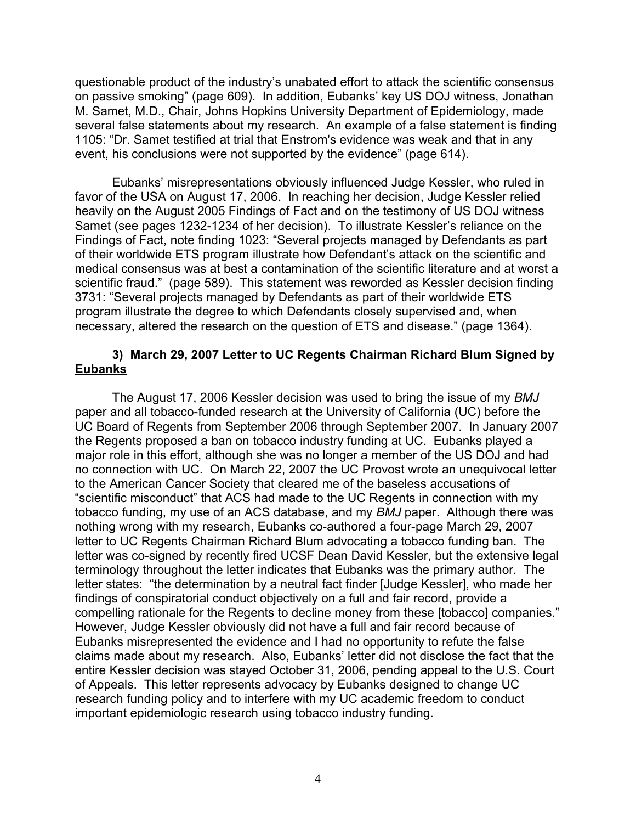questionable product of the industry's unabated effort to attack the scientific consensus on passive smoking" (page 609). In addition, Eubanks' key US DOJ witness, Jonathan M. Samet, M.D., Chair, Johns Hopkins University Department of Epidemiology, made several false statements about my research. An example of a false statement is finding 1105: "Dr. Samet testified at trial that Enstrom's evidence was weak and that in any event, his conclusions were not supported by the evidence" (page 614).

Eubanks' misrepresentations obviously influenced Judge Kessler, who ruled in favor of the USA on August 17, 2006. In reaching her decision, Judge Kessler relied heavily on the August 2005 Findings of Fact and on the testimony of US DOJ witness Samet (see pages 1232-1234 of her decision). To illustrate Kessler's reliance on the Findings of Fact, note finding 1023: "Several projects managed by Defendants as part of their worldwide ETS program illustrate how Defendant's attack on the scientific and medical consensus was at best a contamination of the scientific literature and at worst a scientific fraud." (page 589). This statement was reworded as Kessler decision finding 3731: "Several projects managed by Defendants as part of their worldwide ETS program illustrate the degree to which Defendants closely supervised and, when necessary, altered the research on the question of ETS and disease." (page 1364).

### **3) March 29, 2007 Letter to UC Regents Chairman Richard Blum Signed by Eubanks**

The August 17, 2006 Kessler decision was used to bring the issue of my *BMJ* paper and all tobacco-funded research at the University of California (UC) before the UC Board of Regents from September 2006 through September 2007. In January 2007 the Regents proposed a ban on tobacco industry funding at UC. Eubanks played a major role in this effort, although she was no longer a member of the US DOJ and had no connection with UC. On March 22, 2007 the UC Provost wrote an unequivocal letter to the American Cancer Society that cleared me of the baseless accusations of "scientific misconduct" that ACS had made to the UC Regents in connection with my tobacco funding, my use of an ACS database, and my *BMJ* paper. Although there was nothing wrong with my research, Eubanks co-authored a four-page March 29, 2007 letter to UC Regents Chairman Richard Blum advocating a tobacco funding ban. The letter was co-signed by recently fired UCSF Dean David Kessler, but the extensive legal terminology throughout the letter indicates that Eubanks was the primary author. The letter states: "the determination by a neutral fact finder [Judge Kessler], who made her findings of conspiratorial conduct objectively on a full and fair record, provide a compelling rationale for the Regents to decline money from these [tobacco] companies." However, Judge Kessler obviously did not have a full and fair record because of Eubanks misrepresented the evidence and I had no opportunity to refute the false claims made about my research. Also, Eubanks' letter did not disclose the fact that the entire Kessler decision was stayed October 31, 2006, pending appeal to the U.S. Court of Appeals. This letter represents advocacy by Eubanks designed to change UC research funding policy and to interfere with my UC academic freedom to conduct important epidemiologic research using tobacco industry funding.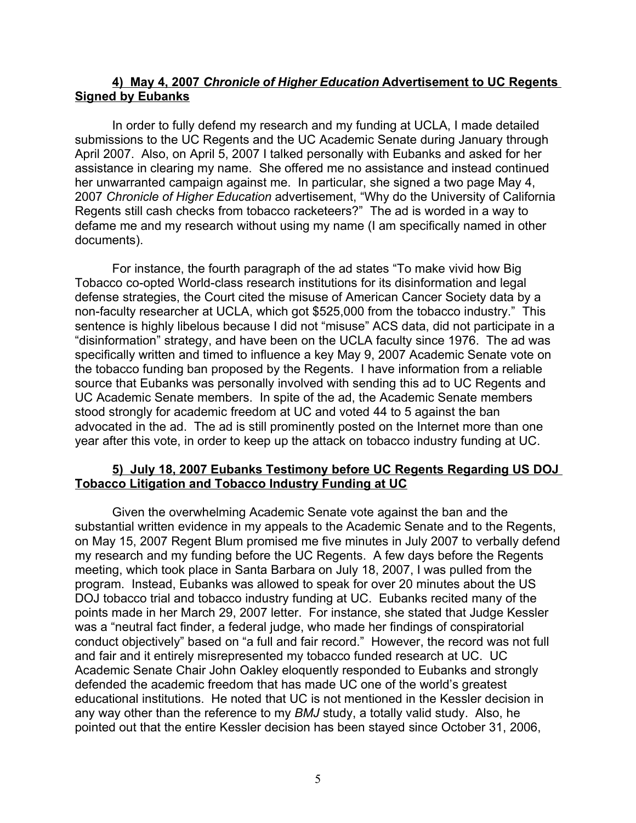## **4) May 4, 2007** *Chronicle of Higher Education* **Advertisement to UC Regents Signed by Eubanks**

In order to fully defend my research and my funding at UCLA, I made detailed submissions to the UC Regents and the UC Academic Senate during January through April 2007. Also, on April 5, 2007 I talked personally with Eubanks and asked for her assistance in clearing my name. She offered me no assistance and instead continued her unwarranted campaign against me. In particular, she signed a two page May 4, 2007 *Chronicle of Higher Education* advertisement, "Why do the University of California Regents still cash checks from tobacco racketeers?" The ad is worded in a way to defame me and my research without using my name (I am specifically named in other documents).

For instance, the fourth paragraph of the ad states "To make vivid how Big Tobacco co-opted World-class research institutions for its disinformation and legal defense strategies, the Court cited the misuse of American Cancer Society data by a non-faculty researcher at UCLA, which got \$525,000 from the tobacco industry." This sentence is highly libelous because I did not "misuse" ACS data, did not participate in a "disinformation" strategy, and have been on the UCLA faculty since 1976. The ad was specifically written and timed to influence a key May 9, 2007 Academic Senate vote on the tobacco funding ban proposed by the Regents. I have information from a reliable source that Eubanks was personally involved with sending this ad to UC Regents and UC Academic Senate members. In spite of the ad, the Academic Senate members stood strongly for academic freedom at UC and voted 44 to 5 against the ban advocated in the ad. The ad is still prominently posted on the Internet more than one year after this vote, in order to keep up the attack on tobacco industry funding at UC.

### **5) July 18, 2007 Eubanks Testimony before UC Regents Regarding US DOJ Tobacco Litigation and Tobacco Industry Funding at UC**

Given the overwhelming Academic Senate vote against the ban and the substantial written evidence in my appeals to the Academic Senate and to the Regents, on May 15, 2007 Regent Blum promised me five minutes in July 2007 to verbally defend my research and my funding before the UC Regents. A few days before the Regents meeting, which took place in Santa Barbara on July 18, 2007, I was pulled from the program. Instead, Eubanks was allowed to speak for over 20 minutes about the US DOJ tobacco trial and tobacco industry funding at UC. Eubanks recited many of the points made in her March 29, 2007 letter. For instance, she stated that Judge Kessler was a "neutral fact finder, a federal judge, who made her findings of conspiratorial conduct objectively" based on "a full and fair record." However, the record was not full and fair and it entirely misrepresented my tobacco funded research at UC. UC Academic Senate Chair John Oakley eloquently responded to Eubanks and strongly defended the academic freedom that has made UC one of the world's greatest educational institutions. He noted that UC is not mentioned in the Kessler decision in any way other than the reference to my *BMJ* study, a totally valid study. Also, he pointed out that the entire Kessler decision has been stayed since October 31, 2006,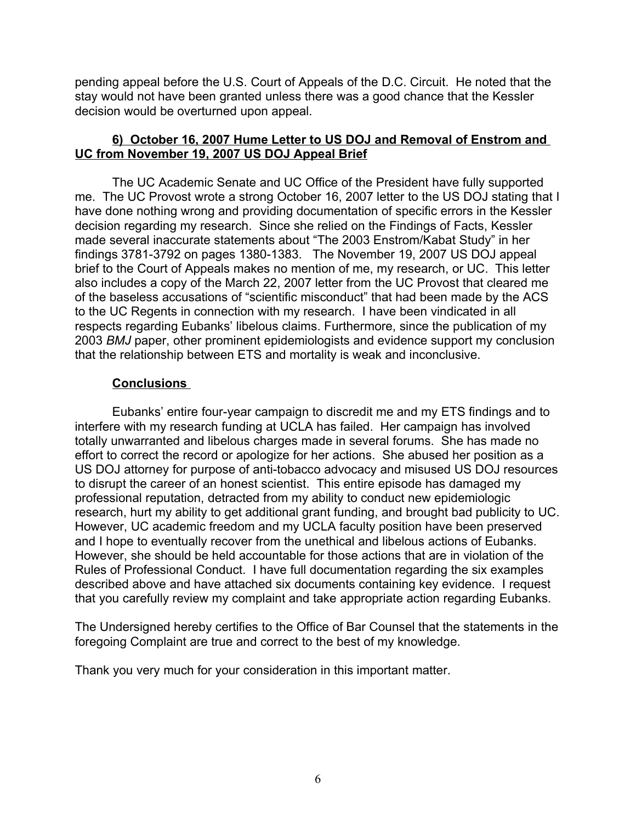pending appeal before the U.S. Court of Appeals of the D.C. Circuit. He noted that the stay would not have been granted unless there was a good chance that the Kessler decision would be overturned upon appeal.

## **6) October 16, 2007 Hume Letter to US DOJ and Removal of Enstrom and UC from November 19, 2007 US DOJ Appeal Brief**

The UC Academic Senate and UC Office of the President have fully supported me. The UC Provost wrote a strong October 16, 2007 letter to the US DOJ stating that I have done nothing wrong and providing documentation of specific errors in the Kessler decision regarding my research. Since she relied on the Findings of Facts, Kessler made several inaccurate statements about "The 2003 Enstrom/Kabat Study" in her findings 3781-3792 on pages 1380-1383. The November 19, 2007 US DOJ appeal brief to the Court of Appeals makes no mention of me, my research, or UC. This letter also includes a copy of the March 22, 2007 letter from the UC Provost that cleared me of the baseless accusations of "scientific misconduct" that had been made by the ACS to the UC Regents in connection with my research. I have been vindicated in all respects regarding Eubanks' libelous claims. Furthermore, since the publication of my 2003 *BMJ* paper, other prominent epidemiologists and evidence support my conclusion that the relationship between ETS and mortality is weak and inconclusive.

## **Conclusions**

Eubanks' entire four-year campaign to discredit me and my ETS findings and to interfere with my research funding at UCLA has failed. Her campaign has involved totally unwarranted and libelous charges made in several forums. She has made no effort to correct the record or apologize for her actions. She abused her position as a US DOJ attorney for purpose of anti-tobacco advocacy and misused US DOJ resources to disrupt the career of an honest scientist. This entire episode has damaged my professional reputation, detracted from my ability to conduct new epidemiologic research, hurt my ability to get additional grant funding, and brought bad publicity to UC. However, UC academic freedom and my UCLA faculty position have been preserved and I hope to eventually recover from the unethical and libelous actions of Eubanks. However, she should be held accountable for those actions that are in violation of the Rules of Professional Conduct. I have full documentation regarding the six examples described above and have attached six documents containing key evidence. I request that you carefully review my complaint and take appropriate action regarding Eubanks.

The Undersigned hereby certifies to the Office of Bar Counsel that the statements in the foregoing Complaint are true and correct to the best of my knowledge.

Thank you very much for your consideration in this important matter.